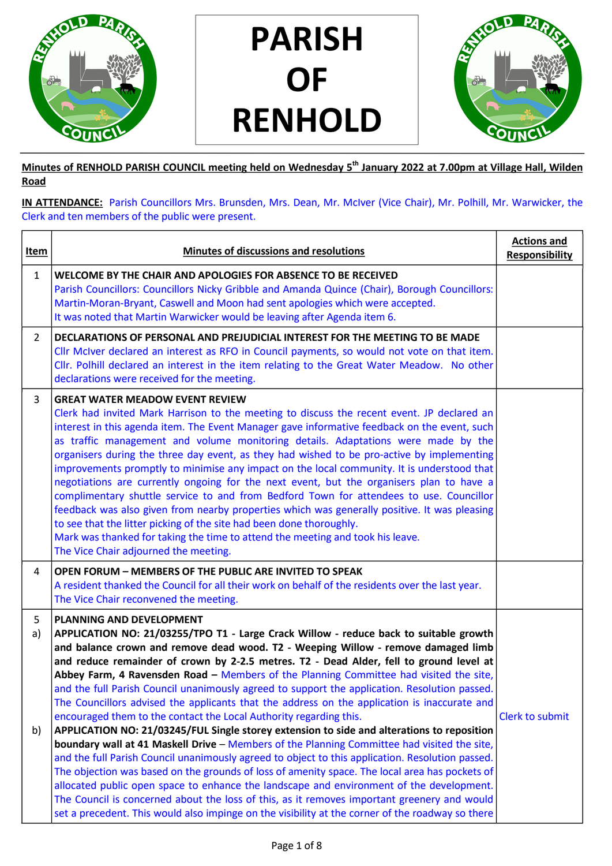

PARISH OF RENHOLD



Minutes of RENHOLD PARISH COUNCIL meeting held on Wednesday 5<sup>th</sup> January 2022 at 7.00pm at Village Hall, Wilden Road

IN ATTENDANCE: Parish Councillors Mrs. Brunsden, Mrs. Dean, Mr. McIver (Vice Chair), Mr. Polhill, Mr. Warwicker, the Clerk and ten members of the public were present.

| Item          | Minutes of discussions and resolutions                                                                                                                                                                                                                                                                                                                                                                                                                                                                                                                                                                                                                                                                                                                                                                                                                                                                                                                                                                                                                                                                                                                                                                                                                                                                                                                               | <b>Actions and</b><br><b>Responsibility</b> |
|---------------|----------------------------------------------------------------------------------------------------------------------------------------------------------------------------------------------------------------------------------------------------------------------------------------------------------------------------------------------------------------------------------------------------------------------------------------------------------------------------------------------------------------------------------------------------------------------------------------------------------------------------------------------------------------------------------------------------------------------------------------------------------------------------------------------------------------------------------------------------------------------------------------------------------------------------------------------------------------------------------------------------------------------------------------------------------------------------------------------------------------------------------------------------------------------------------------------------------------------------------------------------------------------------------------------------------------------------------------------------------------------|---------------------------------------------|
| $\mathbf{1}$  | WELCOME BY THE CHAIR AND APOLOGIES FOR ABSENCE TO BE RECEIVED<br>Parish Councillors: Councillors Nicky Gribble and Amanda Quince (Chair), Borough Councillors:<br>Martin-Moran-Bryant, Caswell and Moon had sent apologies which were accepted.<br>It was noted that Martin Warwicker would be leaving after Agenda item 6.                                                                                                                                                                                                                                                                                                                                                                                                                                                                                                                                                                                                                                                                                                                                                                                                                                                                                                                                                                                                                                          |                                             |
| 2             | DECLARATIONS OF PERSONAL AND PREJUDICIAL INTEREST FOR THE MEETING TO BE MADE<br>Cllr McIver declared an interest as RFO in Council payments, so would not vote on that item.<br>Cllr. Polhill declared an interest in the item relating to the Great Water Meadow. No other<br>declarations were received for the meeting.                                                                                                                                                                                                                                                                                                                                                                                                                                                                                                                                                                                                                                                                                                                                                                                                                                                                                                                                                                                                                                           |                                             |
| 3             | <b>GREAT WATER MEADOW EVENT REVIEW</b><br>Clerk had invited Mark Harrison to the meeting to discuss the recent event. JP declared an<br>interest in this agenda item. The Event Manager gave informative feedback on the event, such<br>as traffic management and volume monitoring details. Adaptations were made by the<br>organisers during the three day event, as they had wished to be pro-active by implementing<br>improvements promptly to minimise any impact on the local community. It is understood that<br>negotiations are currently ongoing for the next event, but the organisers plan to have a<br>complimentary shuttle service to and from Bedford Town for attendees to use. Councillor<br>feedback was also given from nearby properties which was generally positive. It was pleasing<br>to see that the litter picking of the site had been done thoroughly.<br>Mark was thanked for taking the time to attend the meeting and took his leave.<br>The Vice Chair adjourned the meeting.                                                                                                                                                                                                                                                                                                                                                      |                                             |
| 4             | <b>OPEN FORUM - MEMBERS OF THE PUBLIC ARE INVITED TO SPEAK</b><br>A resident thanked the Council for all their work on behalf of the residents over the last year.<br>The Vice Chair reconvened the meeting.                                                                                                                                                                                                                                                                                                                                                                                                                                                                                                                                                                                                                                                                                                                                                                                                                                                                                                                                                                                                                                                                                                                                                         |                                             |
| 5<br>a)<br>b) | PLANNING AND DEVELOPMENT<br>APPLICATION NO: 21/03255/TPO T1 - Large Crack Willow - reduce back to suitable growth<br>and balance crown and remove dead wood. T2 - Weeping Willow - remove damaged limb<br>and reduce remainder of crown by 2-2.5 metres. T2 - Dead Alder, fell to ground level at<br>Abbey Farm, 4 Ravensden Road - Members of the Planning Committee had visited the site,<br>and the full Parish Council unanimously agreed to support the application. Resolution passed.<br>The Councillors advised the applicants that the address on the application is inaccurate and<br>encouraged them to the contact the Local Authority regarding this.<br>APPLICATION NO: 21/03245/FUL Single storey extension to side and alterations to reposition<br>boundary wall at 41 Maskell Drive - Members of the Planning Committee had visited the site,<br>and the full Parish Council unanimously agreed to object to this application. Resolution passed.<br>The objection was based on the grounds of loss of amenity space. The local area has pockets of<br>allocated public open space to enhance the landscape and environment of the development.<br>The Council is concerned about the loss of this, as it removes important greenery and would<br>set a precedent. This would also impinge on the visibility at the corner of the roadway so there | Clerk to submit                             |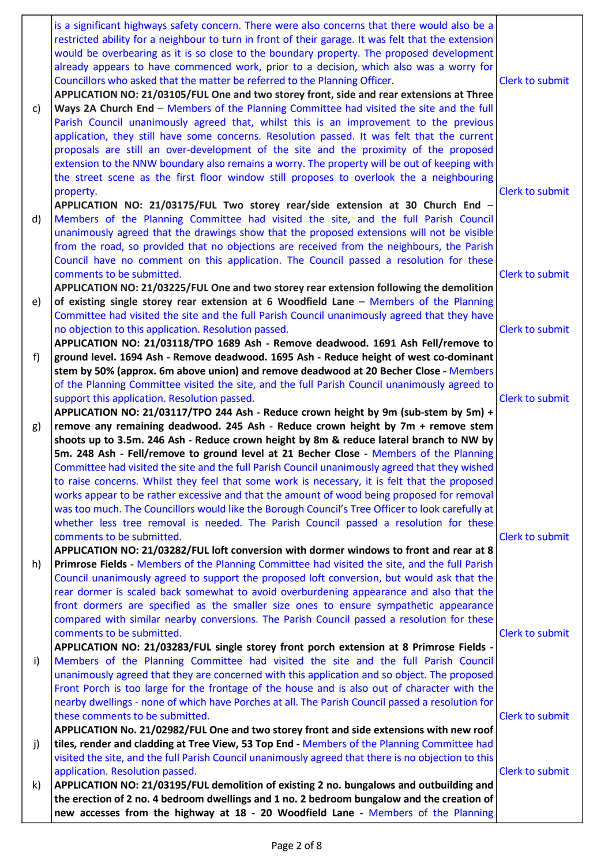|    | is a significant highways safety concern. There were also concerns that there would also be a<br>restricted ability for a neighbour to turn in front of their garage. It was felt that the extension<br>would be overbearing as it is so close to the boundary property. The proposed development<br>already appears to have commenced work, prior to a decision, which also was a worry for |                        |
|----|----------------------------------------------------------------------------------------------------------------------------------------------------------------------------------------------------------------------------------------------------------------------------------------------------------------------------------------------------------------------------------------------|------------------------|
|    | Councillors who asked that the matter be referred to the Planning Officer.                                                                                                                                                                                                                                                                                                                   | Clerk to submit        |
|    | APPLICATION NO: 21/03105/FUL One and two storey front, side and rear extensions at Three                                                                                                                                                                                                                                                                                                     |                        |
| C) | Ways 2A Church End - Members of the Planning Committee had visited the site and the full                                                                                                                                                                                                                                                                                                     |                        |
|    | Parish Council unanimously agreed that, whilst this is an improvement to the previous                                                                                                                                                                                                                                                                                                        |                        |
|    | application, they still have some concerns. Resolution passed. It was felt that the current                                                                                                                                                                                                                                                                                                  |                        |
|    | proposals are still an over-development of the site and the proximity of the proposed                                                                                                                                                                                                                                                                                                        |                        |
|    | extension to the NNW boundary also remains a worry. The property will be out of keeping with                                                                                                                                                                                                                                                                                                 |                        |
|    | the street scene as the first floor window still proposes to overlook the a neighbouring                                                                                                                                                                                                                                                                                                     |                        |
|    | property.                                                                                                                                                                                                                                                                                                                                                                                    | Clerk to submit        |
|    | APPLICATION NO: 21/03175/FUL Two storey rear/side extension at 30 Church End -<br>Members of the Planning Committee had visited the site, and the full Parish Council                                                                                                                                                                                                                        |                        |
| d) | unanimously agreed that the drawings show that the proposed extensions will not be visible                                                                                                                                                                                                                                                                                                   |                        |
|    | from the road, so provided that no objections are received from the neighbours, the Parish                                                                                                                                                                                                                                                                                                   |                        |
|    | Council have no comment on this application. The Council passed a resolution for these                                                                                                                                                                                                                                                                                                       |                        |
|    | comments to be submitted.                                                                                                                                                                                                                                                                                                                                                                    | Clerk to submit        |
|    | APPLICATION NO: 21/03225/FUL One and two storey rear extension following the demolition                                                                                                                                                                                                                                                                                                      |                        |
| e) | of existing single storey rear extension at 6 Woodfield Lane - Members of the Planning                                                                                                                                                                                                                                                                                                       |                        |
|    | Committee had visited the site and the full Parish Council unanimously agreed that they have                                                                                                                                                                                                                                                                                                 |                        |
|    | no objection to this application. Resolution passed.                                                                                                                                                                                                                                                                                                                                         | <b>Clerk to submit</b> |
|    | APPLICATION NO: 21/03118/TPO 1689 Ash - Remove deadwood. 1691 Ash Fell/remove to                                                                                                                                                                                                                                                                                                             |                        |
| f  | ground level. 1694 Ash - Remove deadwood. 1695 Ash - Reduce height of west co-dominant                                                                                                                                                                                                                                                                                                       |                        |
|    | stem by 50% (approx. 6m above union) and remove deadwood at 20 Becher Close - Members                                                                                                                                                                                                                                                                                                        |                        |
|    | of the Planning Committee visited the site, and the full Parish Council unanimously agreed to<br>support this application. Resolution passed.                                                                                                                                                                                                                                                | Clerk to submit        |
|    | APPLICATION NO: 21/03117/TPO 244 Ash - Reduce crown height by 9m (sub-stem by 5m) +                                                                                                                                                                                                                                                                                                          |                        |
| g) | remove any remaining deadwood. 245 Ash - Reduce crown height by 7m + remove stem                                                                                                                                                                                                                                                                                                             |                        |
|    | shoots up to 3.5m. 246 Ash - Reduce crown height by 8m & reduce lateral branch to NW by                                                                                                                                                                                                                                                                                                      |                        |
|    | 5m. 248 Ash - Fell/remove to ground level at 21 Becher Close - Members of the Planning                                                                                                                                                                                                                                                                                                       |                        |
|    | Committee had visited the site and the full Parish Council unanimously agreed that they wished                                                                                                                                                                                                                                                                                               |                        |
|    | to raise concerns. Whilst they feel that some work is necessary, it is felt that the proposed                                                                                                                                                                                                                                                                                                |                        |
|    | works appear to be rather excessive and that the amount of wood being proposed for removal                                                                                                                                                                                                                                                                                                   |                        |
|    | was too much. The Councillors would like the Borough Council's Tree Officer to look carefully at                                                                                                                                                                                                                                                                                             |                        |
|    | whether less tree removal is needed. The Parish Council passed a resolution for these<br>comments to be submitted.                                                                                                                                                                                                                                                                           | Clerk to submit        |
|    | APPLICATION NO: 21/03282/FUL loft conversion with dormer windows to front and rear at 8                                                                                                                                                                                                                                                                                                      |                        |
| h) |                                                                                                                                                                                                                                                                                                                                                                                              |                        |
|    |                                                                                                                                                                                                                                                                                                                                                                                              |                        |
|    | Primrose Fields - Members of the Planning Committee had visited the site, and the full Parish<br>Council unanimously agreed to support the proposed loft conversion, but would ask that the                                                                                                                                                                                                  |                        |
|    | rear dormer is scaled back somewhat to avoid overburdening appearance and also that the                                                                                                                                                                                                                                                                                                      |                        |
|    | front dormers are specified as the smaller size ones to ensure sympathetic appearance                                                                                                                                                                                                                                                                                                        |                        |
|    | compared with similar nearby conversions. The Parish Council passed a resolution for these                                                                                                                                                                                                                                                                                                   |                        |
|    | comments to be submitted.                                                                                                                                                                                                                                                                                                                                                                    | Clerk to submit        |
|    | APPLICATION NO: 21/03283/FUL single storey front porch extension at 8 Primrose Fields -                                                                                                                                                                                                                                                                                                      |                        |
| i) | Members of the Planning Committee had visited the site and the full Parish Council                                                                                                                                                                                                                                                                                                           |                        |
|    | unanimously agreed that they are concerned with this application and so object. The proposed                                                                                                                                                                                                                                                                                                 |                        |
|    | Front Porch is too large for the frontage of the house and is also out of character with the                                                                                                                                                                                                                                                                                                 |                        |
|    | nearby dwellings - none of which have Porches at all. The Parish Council passed a resolution for                                                                                                                                                                                                                                                                                             |                        |
|    | these comments to be submitted.<br>APPLICATION No. 21/02982/FUL One and two storey front and side extensions with new roof                                                                                                                                                                                                                                                                   | Clerk to submit        |
| j) | tiles, render and cladding at Tree View, 53 Top End - Members of the Planning Committee had                                                                                                                                                                                                                                                                                                  |                        |
|    | visited the site, and the full Parish Council unanimously agreed that there is no objection to this                                                                                                                                                                                                                                                                                          |                        |
|    | application. Resolution passed.                                                                                                                                                                                                                                                                                                                                                              | Clerk to submit        |
| k) | APPLICATION NO: 21/03195/FUL demolition of existing 2 no. bungalows and outbuilding and                                                                                                                                                                                                                                                                                                      |                        |
|    | the erection of 2 no. 4 bedroom dwellings and 1 no. 2 bedroom bungalow and the creation of<br>new accesses from the highway at 18 - 20 Woodfield Lane - Members of the Planning                                                                                                                                                                                                              |                        |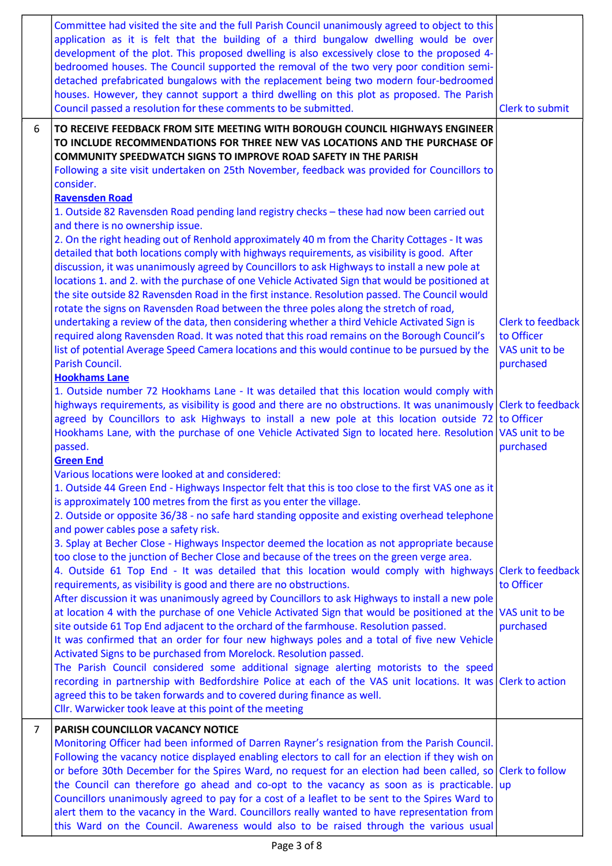|                | Committee had visited the site and the full Parish Council unanimously agreed to object to this<br>application as it is felt that the building of a third bungalow dwelling would be over<br>development of the plot. This proposed dwelling is also excessively close to the proposed 4-<br>bedroomed houses. The Council supported the removal of the two very poor condition semi-<br>detached prefabricated bungalows with the replacement being two modern four-bedroomed<br>houses. However, they cannot support a third dwelling on this plot as proposed. The Parish<br>Council passed a resolution for these comments to be submitted.                                                                                                                                                                                                                                                                                                                                                                                                                                                                                                                                                                                                                                                                                                                                                                                                                                                                                                                                                                                                                                                                                                                                                                                                                                                         | Clerk to submit                                                                    |
|----------------|---------------------------------------------------------------------------------------------------------------------------------------------------------------------------------------------------------------------------------------------------------------------------------------------------------------------------------------------------------------------------------------------------------------------------------------------------------------------------------------------------------------------------------------------------------------------------------------------------------------------------------------------------------------------------------------------------------------------------------------------------------------------------------------------------------------------------------------------------------------------------------------------------------------------------------------------------------------------------------------------------------------------------------------------------------------------------------------------------------------------------------------------------------------------------------------------------------------------------------------------------------------------------------------------------------------------------------------------------------------------------------------------------------------------------------------------------------------------------------------------------------------------------------------------------------------------------------------------------------------------------------------------------------------------------------------------------------------------------------------------------------------------------------------------------------------------------------------------------------------------------------------------------------|------------------------------------------------------------------------------------|
| 6              | TO RECEIVE FEEDBACK FROM SITE MEETING WITH BOROUGH COUNCIL HIGHWAYS ENGINEER<br>TO INCLUDE RECOMMENDATIONS FOR THREE NEW VAS LOCATIONS AND THE PURCHASE OF<br><b>COMMUNITY SPEEDWATCH SIGNS TO IMPROVE ROAD SAFETY IN THE PARISH</b><br>Following a site visit undertaken on 25th November, feedback was provided for Councillors to<br>consider.<br><b>Ravensden Road</b><br>1. Outside 82 Ravensden Road pending land registry checks - these had now been carried out<br>and there is no ownership issue.<br>2. On the right heading out of Renhold approximately 40 m from the Charity Cottages - It was<br>detailed that both locations comply with highways requirements, as visibility is good. After<br>discussion, it was unanimously agreed by Councillors to ask Highways to install a new pole at<br>locations 1. and 2. with the purchase of one Vehicle Activated Sign that would be positioned at<br>the site outside 82 Ravensden Road in the first instance. Resolution passed. The Council would<br>rotate the signs on Ravensden Road between the three poles along the stretch of road,<br>undertaking a review of the data, then considering whether a third Vehicle Activated Sign is<br>required along Ravensden Road. It was noted that this road remains on the Borough Council's<br>list of potential Average Speed Camera locations and this would continue to be pursued by the<br>Parish Council.<br><b>Hookhams Lane</b><br>1. Outside number 72 Hookhams Lane - It was detailed that this location would comply with<br>highways requirements, as visibility is good and there are no obstructions. It was unanimously Clerk to feedback<br>agreed by Councillors to ask Highways to install a new pole at this location outside $72$ to Officer<br>Hookhams Lane, with the purchase of one Vehicle Activated Sign to located here. Resolution VAS unit to be<br>passed. | <b>Clerk to feedback</b><br>to Officer<br>VAS unit to be<br>purchased<br>purchased |
|                | <b>Green End</b><br>Various locations were looked at and considered:<br>1. Outside 44 Green End - Highways Inspector felt that this is too close to the first VAS one as it<br>is approximately 100 metres from the first as you enter the village.<br>2. Outside or opposite 36/38 - no safe hard standing opposite and existing overhead telephone<br>and power cables pose a safety risk.<br>3. Splay at Becher Close - Highways Inspector deemed the location as not appropriate because<br>too close to the junction of Becher Close and because of the trees on the green verge area.<br>4. Outside 61 Top End - It was detailed that this location would comply with highways Clerk to feedback<br>requirements, as visibility is good and there are no obstructions.<br>After discussion it was unanimously agreed by Councillors to ask Highways to install a new pole<br>at location 4 with the purchase of one Vehicle Activated Sign that would be positioned at the VAS unit to be<br>site outside 61 Top End adjacent to the orchard of the farmhouse. Resolution passed.<br>It was confirmed that an order for four new highways poles and a total of five new Vehicle<br>Activated Signs to be purchased from Morelock. Resolution passed.<br>The Parish Council considered some additional signage alerting motorists to the speed<br>recording in partnership with Bedfordshire Police at each of the VAS unit locations. It was Clerk to action<br>agreed this to be taken forwards and to covered during finance as well.<br>Cllr. Warwicker took leave at this point of the meeting                                                                                                                                                                                                                                                                                                | to Officer<br>purchased                                                            |
| $\overline{7}$ | PARISH COUNCILLOR VACANCY NOTICE<br>Monitoring Officer had been informed of Darren Rayner's resignation from the Parish Council.<br>Following the vacancy notice displayed enabling electors to call for an election if they wish on<br>or before 30th December for the Spires Ward, no request for an election had been called, so Clerk to follow<br>the Council can therefore go ahead and co-opt to the vacancy as soon as is practicable. up<br>Councillors unanimously agreed to pay for a cost of a leaflet to be sent to the Spires Ward to<br>alert them to the vacancy in the Ward. Councillors really wanted to have representation from<br>this Ward on the Council. Awareness would also to be raised through the various usual                                                                                                                                                                                                                                                                                                                                                                                                                                                                                                                                                                                                                                                                                                                                                                                                                                                                                                                                                                                                                                                                                                                                                            |                                                                                    |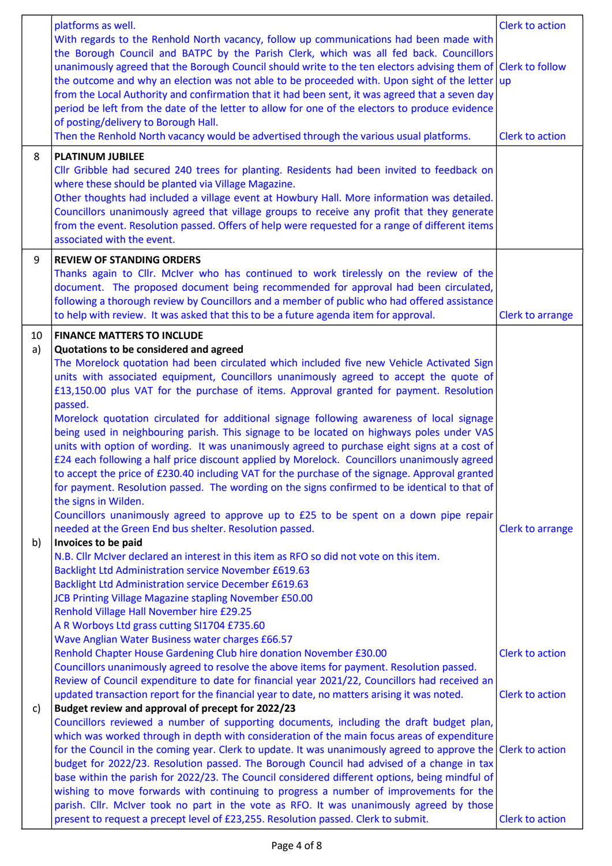|    | platforms as well.                                                                                            | Clerk to action  |
|----|---------------------------------------------------------------------------------------------------------------|------------------|
|    | With regards to the Renhold North vacancy, follow up communications had been made with                        |                  |
|    | the Borough Council and BATPC by the Parish Clerk, which was all fed back. Councillors                        |                  |
|    | unanimously agreed that the Borough Council should write to the ten electors advising them of Clerk to follow |                  |
|    | the outcome and why an election was not able to be proceeded with. Upon sight of the letter up                |                  |
|    | from the Local Authority and confirmation that it had been sent, it was agreed that a seven day               |                  |
|    | period be left from the date of the letter to allow for one of the electors to produce evidence               |                  |
|    | of posting/delivery to Borough Hall.                                                                          |                  |
|    | Then the Renhold North vacancy would be advertised through the various usual platforms.                       | Clerk to action  |
|    |                                                                                                               |                  |
| 8  | <b>PLATINUM JUBILEE</b>                                                                                       |                  |
|    | Cllr Gribble had secured 240 trees for planting. Residents had been invited to feedback on                    |                  |
|    | where these should be planted via Village Magazine.                                                           |                  |
|    | Other thoughts had included a village event at Howbury Hall. More information was detailed.                   |                  |
|    | Councillors unanimously agreed that village groups to receive any profit that they generate                   |                  |
|    | from the event. Resolution passed. Offers of help were requested for a range of different items               |                  |
|    | associated with the event.                                                                                    |                  |
| 9  | <b>REVIEW OF STANDING ORDERS</b>                                                                              |                  |
|    | Thanks again to Cllr. McIver who has continued to work tirelessly on the review of the                        |                  |
|    | document. The proposed document being recommended for approval had been circulated,                           |                  |
|    | following a thorough review by Councillors and a member of public who had offered assistance                  |                  |
|    | to help with review. It was asked that this to be a future agenda item for approval.                          | Clerk to arrange |
| 10 | <b>FINANCE MATTERS TO INCLUDE</b>                                                                             |                  |
| a) | Quotations to be considered and agreed                                                                        |                  |
|    | The Morelock quotation had been circulated which included five new Vehicle Activated Sign                     |                  |
|    | units with associated equipment, Councillors unanimously agreed to accept the quote of                        |                  |
|    | £13,150.00 plus VAT for the purchase of items. Approval granted for payment. Resolution                       |                  |
|    | passed.                                                                                                       |                  |
|    | Morelock quotation circulated for additional signage following awareness of local signage                     |                  |
|    | being used in neighbouring parish. This signage to be located on highways poles under VAS                     |                  |
|    | units with option of wording. It was unanimously agreed to purchase eight signs at a cost of                  |                  |
|    | £24 each following a half price discount applied by Morelock. Councillors unanimously agreed                  |                  |
|    | to accept the price of £230.40 including VAT for the purchase of the signage. Approval granted                |                  |
|    | for payment. Resolution passed. The wording on the signs confirmed to be identical to that of                 |                  |
|    | the signs in Wilden.                                                                                          |                  |
|    | Councillors unanimously agreed to approve up to £25 to be spent on a down pipe repair                         |                  |
|    | needed at the Green End bus shelter. Resolution passed.                                                       | Clerk to arrange |
| b) | Invoices to be paid                                                                                           |                  |
|    | N.B. Cllr McIver declared an interest in this item as RFO so did not vote on this item.                       |                  |
|    | <b>Backlight Ltd Administration service November £619.63</b>                                                  |                  |
|    | <b>Backlight Ltd Administration service December £619.63</b>                                                  |                  |
|    | <b>JCB Printing Village Magazine stapling November £50.00</b>                                                 |                  |
|    | Renhold Village Hall November hire £29.25                                                                     |                  |
|    | A R Worboys Ltd grass cutting SI1704 £735.60                                                                  |                  |
|    | Wave Anglian Water Business water charges £66.57                                                              |                  |
|    | Renhold Chapter House Gardening Club hire donation November £30.00                                            | Clerk to action  |
|    | Councillors unanimously agreed to resolve the above items for payment. Resolution passed.                     |                  |
|    | Review of Council expenditure to date for financial year 2021/22, Councillors had received an                 |                  |
|    | updated transaction report for the financial year to date, no matters arising it was noted.                   | Clerk to action  |
| c) | Budget review and approval of precept for 2022/23                                                             |                  |
|    | Councillors reviewed a number of supporting documents, including the draft budget plan,                       |                  |
|    | which was worked through in depth with consideration of the main focus areas of expenditure                   |                  |
|    | for the Council in the coming year. Clerk to update. It was unanimously agreed to approve the Clerk to action |                  |
|    | budget for 2022/23. Resolution passed. The Borough Council had advised of a change in tax                     |                  |
|    | base within the parish for 2022/23. The Council considered different options, being mindful of                |                  |
|    | wishing to move forwards with continuing to progress a number of improvements for the                         |                  |
|    | parish. Cllr. McIver took no part in the vote as RFO. It was unanimously agreed by those                      |                  |
|    | present to request a precept level of £23,255. Resolution passed. Clerk to submit.                            | Clerk to action  |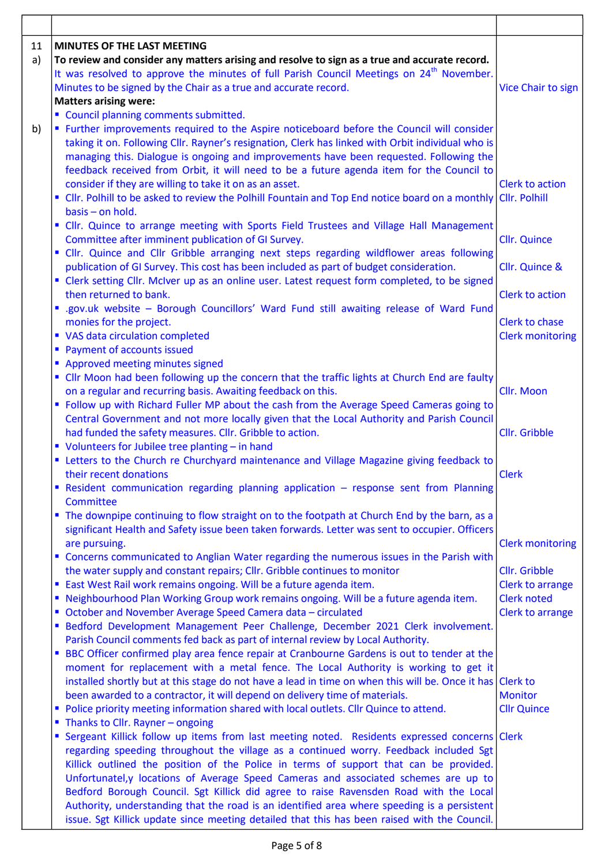| 11<br>a) | <b>MINUTES OF THE LAST MEETING</b><br>To review and consider any matters arising and resolve to sign as a true and accurate record.<br>It was resolved to approve the minutes of full Parish Council Meetings on 24 <sup>th</sup> November.<br>Minutes to be signed by the Chair as a true and accurate record.<br><b>Matters arising were:</b>                                                                                                                                                                                                                                                                                                                                                                                                                                                                                                                                                                                                                                                                                                                                                                                                                                                                                                                                                                            | Vice Chair to sign                                                                                                                             |
|----------|----------------------------------------------------------------------------------------------------------------------------------------------------------------------------------------------------------------------------------------------------------------------------------------------------------------------------------------------------------------------------------------------------------------------------------------------------------------------------------------------------------------------------------------------------------------------------------------------------------------------------------------------------------------------------------------------------------------------------------------------------------------------------------------------------------------------------------------------------------------------------------------------------------------------------------------------------------------------------------------------------------------------------------------------------------------------------------------------------------------------------------------------------------------------------------------------------------------------------------------------------------------------------------------------------------------------------|------------------------------------------------------------------------------------------------------------------------------------------------|
| b)       | " Council planning comments submitted.<br>• Further improvements required to the Aspire noticeboard before the Council will consider<br>taking it on. Following Cllr. Rayner's resignation, Clerk has linked with Orbit individual who is<br>managing this. Dialogue is ongoing and improvements have been requested. Following the<br>feedback received from Orbit, it will need to be a future agenda item for the Council to<br>consider if they are willing to take it on as an asset.<br>• Cllr. Polhill to be asked to review the Polhill Fountain and Top End notice board on a monthly Cllr. Polhill<br>basis - on hold.<br>" Cllr. Quince to arrange meeting with Sports Field Trustees and Village Hall Management<br>Committee after imminent publication of GI Survey.<br>" Cllr. Quince and Cllr Gribble arranging next steps regarding wildflower areas following<br>publication of GI Survey. This cost has been included as part of budget consideration.<br>• Clerk setting Cllr. McIver up as an online user. Latest request form completed, to be signed<br>then returned to bank.<br>.gov.uk website - Borough Councillors' Ward Fund still awaiting release of Ward Fund<br>monies for the project.                                                                                                   | <b>Clerk to action</b><br><b>Cllr.</b> Quince<br>Cllr. Quince &<br><b>Clerk to action</b><br>Clerk to chase                                    |
|          | " VAS data circulation completed<br>• Payment of accounts issued<br>Approved meeting minutes signed<br>" Cllr Moon had been following up the concern that the traffic lights at Church End are faulty<br>on a regular and recurring basis. Awaiting feedback on this.<br>" Follow up with Richard Fuller MP about the cash from the Average Speed Cameras going to<br>Central Government and not more locally given that the Local Authority and Parish Council<br>had funded the safety measures. Cllr. Gribble to action.<br>" Volunteers for Jubilee tree planting - in hand<br>" Letters to the Church re Churchyard maintenance and Village Magazine giving feedback to<br>their recent donations<br>Resident communication regarding planning application - response sent from Planning                                                                                                                                                                                                                                                                                                                                                                                                                                                                                                                              | <b>Clerk monitoring</b><br>Cllr. Moon<br>Cllr. Gribble<br><b>Clerk</b>                                                                         |
|          | Committee<br>• The downpipe continuing to flow straight on to the footpath at Church End by the barn, as a<br>significant Health and Safety issue been taken forwards. Letter was sent to occupier. Officers<br>are pursuing.<br>" Concerns communicated to Anglian Water regarding the numerous issues in the Parish with<br>the water supply and constant repairs; Cllr. Gribble continues to monitor<br>■ East West Rail work remains ongoing. Will be a future agenda item.<br>Neighbourhood Plan Working Group work remains ongoing. Will be a future agenda item.<br>October and November Average Speed Camera data - circulated<br>Bedford Development Management Peer Challenge, December 2021 Clerk involvement.<br>Parish Council comments fed back as part of internal review by Local Authority.<br>BBC Officer confirmed play area fence repair at Cranbourne Gardens is out to tender at the<br>moment for replacement with a metal fence. The Local Authority is working to get it<br>installed shortly but at this stage do not have a lead in time on when this will be. Once it has Clerk to<br>been awarded to a contractor, it will depend on delivery time of materials.<br>Police priority meeting information shared with local outlets. Cllr Quince to attend.<br>Thanks to Cllr. Rayner - ongoing | <b>Clerk monitoring</b><br>Cllr. Gribble<br>Clerk to arrange<br><b>Clerk noted</b><br>Clerk to arrange<br><b>Monitor</b><br><b>Cllr Quince</b> |
|          | • Sergeant Killick follow up items from last meeting noted. Residents expressed concerns Clerk<br>regarding speeding throughout the village as a continued worry. Feedback included Sgt<br>Killick outlined the position of the Police in terms of support that can be provided.<br>Unfortunatel,y locations of Average Speed Cameras and associated schemes are up to<br>Bedford Borough Council. Sgt Killick did agree to raise Ravensden Road with the Local<br>Authority, understanding that the road is an identified area where speeding is a persistent<br>issue. Sgt Killick update since meeting detailed that this has been raised with the Council.                                                                                                                                                                                                                                                                                                                                                                                                                                                                                                                                                                                                                                                             |                                                                                                                                                |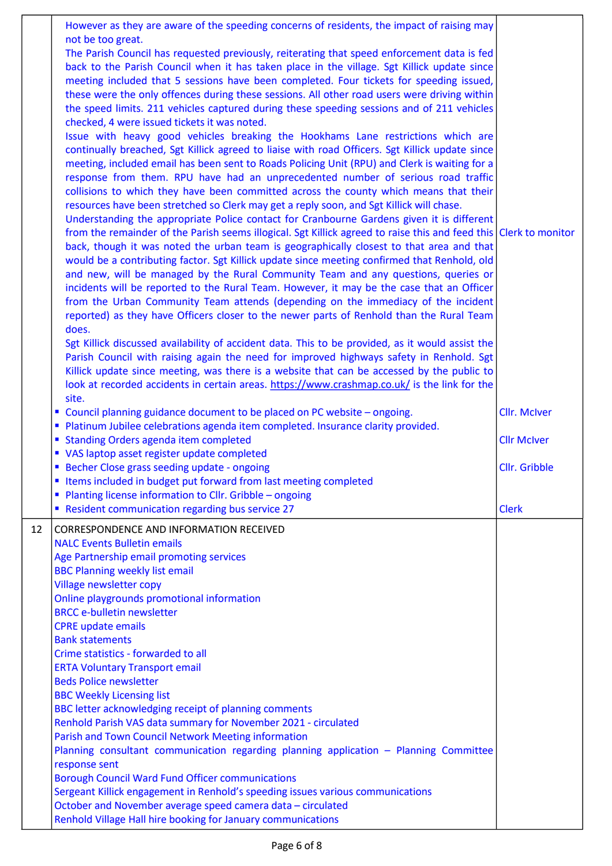|    | However as they are aware of the speeding concerns of residents, the impact of raising may                                                                                        |                     |
|----|-----------------------------------------------------------------------------------------------------------------------------------------------------------------------------------|---------------------|
|    | not be too great.<br>The Parish Council has requested previously, reiterating that speed enforcement data is fed                                                                  |                     |
|    | back to the Parish Council when it has taken place in the village. Sgt Killick update since                                                                                       |                     |
|    | meeting included that 5 sessions have been completed. Four tickets for speeding issued,                                                                                           |                     |
|    | these were the only offences during these sessions. All other road users were driving within                                                                                      |                     |
|    | the speed limits. 211 vehicles captured during these speeding sessions and of 211 vehicles                                                                                        |                     |
|    | checked, 4 were issued tickets it was noted.                                                                                                                                      |                     |
|    | Issue with heavy good vehicles breaking the Hookhams Lane restrictions which are                                                                                                  |                     |
|    | continually breached, Sgt Killick agreed to liaise with road Officers. Sgt Killick update since                                                                                   |                     |
|    | meeting, included email has been sent to Roads Policing Unit (RPU) and Clerk is waiting for a<br>response from them. RPU have had an unprecedented number of serious road traffic |                     |
|    | collisions to which they have been committed across the county which means that their                                                                                             |                     |
|    | resources have been stretched so Clerk may get a reply soon, and Sgt Killick will chase.                                                                                          |                     |
|    | Understanding the appropriate Police contact for Cranbourne Gardens given it is different                                                                                         |                     |
|    | from the remainder of the Parish seems illogical. Sgt Killick agreed to raise this and feed this Clerk to monitor                                                                 |                     |
|    | back, though it was noted the urban team is geographically closest to that area and that                                                                                          |                     |
|    | would be a contributing factor. Sgt Killick update since meeting confirmed that Renhold, old                                                                                      |                     |
|    | and new, will be managed by the Rural Community Team and any questions, queries or<br>incidents will be reported to the Rural Team. However, it may be the case that an Officer   |                     |
|    | from the Urban Community Team attends (depending on the immediacy of the incident                                                                                                 |                     |
|    | reported) as they have Officers closer to the newer parts of Renhold than the Rural Team                                                                                          |                     |
|    | does.                                                                                                                                                                             |                     |
|    | Sgt Killick discussed availability of accident data. This to be provided, as it would assist the                                                                                  |                     |
|    | Parish Council with raising again the need for improved highways safety in Renhold. Sgt                                                                                           |                     |
|    | Killick update since meeting, was there is a website that can be accessed by the public to                                                                                        |                     |
|    | look at recorded accidents in certain areas. https://www.crashmap.co.uk/ is the link for the<br>site.                                                                             |                     |
|    | Council planning guidance document to be placed on PC website - ongoing.<br>ш                                                                                                     | <b>Cllr. McIver</b> |
|    | • Platinum Jubilee celebrations agenda item completed. Insurance clarity provided.                                                                                                |                     |
|    | " Standing Orders agenda item completed                                                                                                                                           | <b>Cllr McIver</b>  |
|    | " VAS laptop asset register update completed                                                                                                                                      |                     |
|    | <b>Becher Close grass seeding update - ongoing</b><br>" Items included in budget put forward from last meeting completed                                                          | Cllr. Gribble       |
|    | • Planting license information to Cllr. Gribble - ongoing                                                                                                                         |                     |
|    | " Resident communication regarding bus service 27                                                                                                                                 | <b>Clerk</b>        |
| 12 | <b>CORRESPONDENCE AND INFORMATION RECEIVED</b>                                                                                                                                    |                     |
|    | <b>NALC Events Bulletin emails</b>                                                                                                                                                |                     |
|    | Age Partnership email promoting services                                                                                                                                          |                     |
|    | <b>BBC Planning weekly list email</b>                                                                                                                                             |                     |
|    | Village newsletter copy                                                                                                                                                           |                     |
|    | Online playgrounds promotional information<br><b>BRCC e-bulletin newsletter</b>                                                                                                   |                     |
|    | <b>CPRE</b> update emails                                                                                                                                                         |                     |
|    | <b>Bank statements</b>                                                                                                                                                            |                     |
|    | Crime statistics - forwarded to all                                                                                                                                               |                     |
|    | <b>ERTA Voluntary Transport email</b>                                                                                                                                             |                     |
|    | <b>Beds Police newsletter</b>                                                                                                                                                     |                     |
|    | <b>BBC Weekly Licensing list</b>                                                                                                                                                  |                     |
|    | BBC letter acknowledging receipt of planning comments<br>Renhold Parish VAS data summary for November 2021 - circulated                                                           |                     |
|    | Parish and Town Council Network Meeting information                                                                                                                               |                     |
|    | Planning consultant communication regarding planning application - Planning Committee                                                                                             |                     |
|    | response sent                                                                                                                                                                     |                     |
|    | <b>Borough Council Ward Fund Officer communications</b>                                                                                                                           |                     |
|    | Sergeant Killick engagement in Renhold's speeding issues various communications                                                                                                   |                     |
|    | October and November average speed camera data - circulated                                                                                                                       |                     |
|    | Renhold Village Hall hire booking for January communications                                                                                                                      |                     |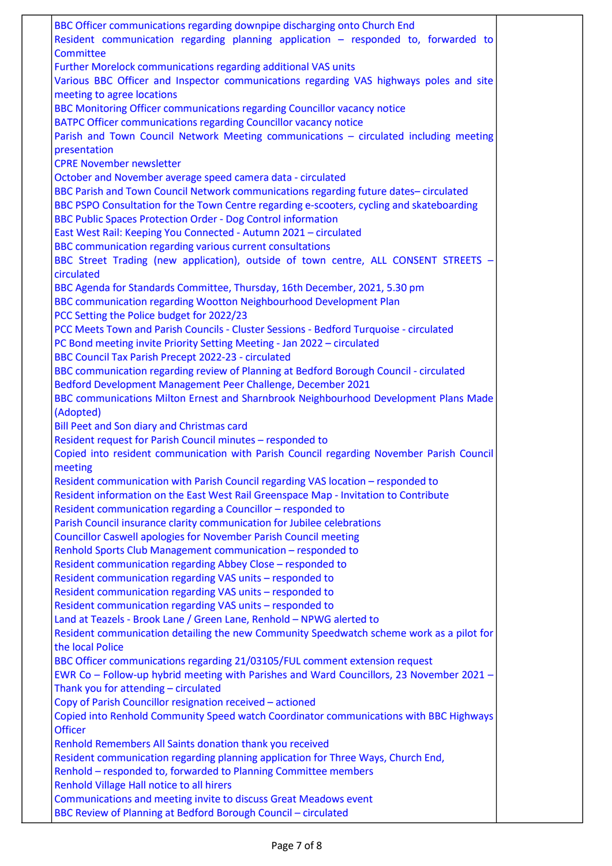BBC Officer communications regarding downpipe discharging onto Church End Resident communication regarding planning application – responded to, forwarded to **Committee** Further Morelock communications regarding additional VAS units Various BBC Officer and Inspector communications regarding VAS highways poles and site meeting to agree locations BBC Monitoring Officer communications regarding Councillor vacancy notice BATPC Officer communications regarding Councillor vacancy notice Parish and Town Council Network Meeting communications – circulated including meeting presentation CPRE November newsletter October and November average speed camera data - circulated BBC Parish and Town Council Network communications regarding future dates– circulated BBC PSPO Consultation for the Town Centre regarding e-scooters, cycling and skateboarding BBC Public Spaces Protection Order - Dog Control information East West Rail: Keeping You Connected - Autumn 2021 – circulated BBC communication regarding various current consultations BBC Street Trading (new application), outside of town centre, ALL CONSENT STREETS – circulated BBC Agenda for Standards Committee, Thursday, 16th December, 2021, 5.30 pm BBC communication regarding Wootton Neighbourhood Development Plan PCC Setting the Police budget for 2022/23 PCC Meets Town and Parish Councils - Cluster Sessions - Bedford Turquoise - circulated PC Bond meeting invite Priority Setting Meeting - Jan 2022 – circulated BBC Council Tax Parish Precept 2022-23 - circulated BBC communication regarding review of Planning at Bedford Borough Council - circulated Bedford Development Management Peer Challenge, December 2021 BBC communications Milton Ernest and Sharnbrook Neighbourhood Development Plans Made (Adopted) Bill Peet and Son diary and Christmas card Resident request for Parish Council minutes – responded to Copied into resident communication with Parish Council regarding November Parish Council meeting Resident communication with Parish Council regarding VAS location – responded to Resident information on the East West Rail Greenspace Map - Invitation to Contribute Resident communication regarding a Councillor – responded to Parish Council insurance clarity communication for Jubilee celebrations Councillor Caswell apologies for November Parish Council meeting Renhold Sports Club Management communication – responded to Resident communication regarding Abbey Close – responded to Resident communication regarding VAS units – responded to Resident communication regarding VAS units – responded to Resident communication regarding VAS units – responded to Land at Teazels - Brook Lane / Green Lane, Renhold – NPWG alerted to Resident communication detailing the new Community Speedwatch scheme work as a pilot for the local Police BBC Officer communications regarding 21/03105/FUL comment extension request EWR Co – Follow-up hybrid meeting with Parishes and Ward Councillors, 23 November 2021 – Thank you for attending – circulated Copy of Parish Councillor resignation received – actioned Copied into Renhold Community Speed watch Coordinator communications with BBC Highways **Officer** Renhold Remembers All Saints donation thank you received Resident communication regarding planning application for Three Ways, Church End, Renhold – responded to, forwarded to Planning Committee members Renhold Village Hall notice to all hirers Communications and meeting invite to discuss Great Meadows event BBC Review of Planning at Bedford Borough Council – circulated